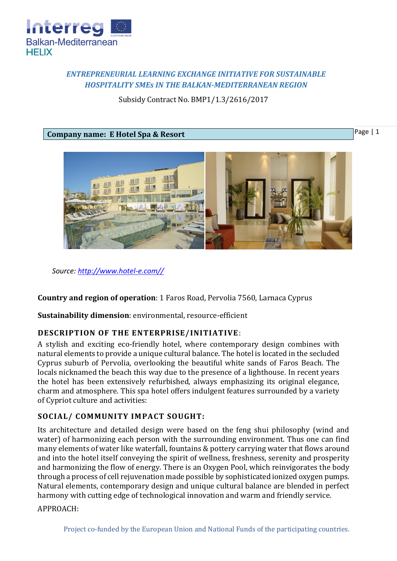

# *ENTREPRENEURIAL LEARNING EXCHANGE INITIATIVE FOR SUSTAINABLE HOSPITALITY SMEs IN THE BALKAN-MEDITERRANEAN REGION*

Subsidy Contract No. BMP1/1.3/2616/2017

#### **Company name: E Hotel Spa & Resort**

Page | 1



*Source: [http://www.hotel-e.com//](http://www.hotel-e.com/)*

**Country and region of operation**: 1 Faros Road, Pervolia 7560, Larnaca Cyprus

**Sustainability dimension**: environmental, resource-efficient

## **DESCRIPTION OF THE ENTERPRISE/INITIATIVE**:

A stylish and exciting eco-friendly hotel, where contemporary design combines with natural elements to provide a unique cultural balance. The hotel is located in the secluded Cyprus suburb of Pervolia, overlooking the beautiful white sands of Faros Beach. The locals nicknamed the beach this way due to the presence of a lighthouse. In recent years the hotel has been extensively refurbished, always emphasizing its original elegance, charm and atmosphere. This spa hotel offers indulgent features surrounded by a variety of Cypriot culture and activities:

## **SOCIAL/ COMMUNITY IMPACT SOUGHT:**

Its architecture and detailed design were based on the feng shui philosophy (wind and water) of harmonizing each person with the surrounding environment. Thus one can find many elements of water like waterfall, fountains & pottery carrying water that flows around and into the hotel itself conveying the spirit of wellness, freshness, serenity and prosperity and harmonizing the flow of energy. There is an Oxygen Pool, which reinvigorates the body through a process of cell rejuvenation made possible by sophisticated ionized oxygen pumps. Natural elements, contemporary design and unique cultural balance are blended in perfect harmony with cutting edge of technological innovation and warm and friendly service.

APPROACH: